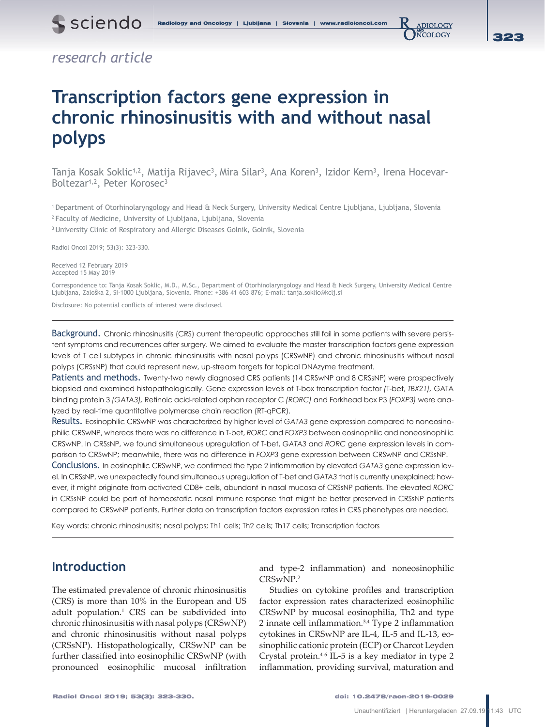ADIOLOGY **NCOLOGY** 

# *research article*

# **Transcription factors gene expression in chronic rhinosinusitis with and without nasal polyps**

Tanja Kosak Soklic<sup>1,2</sup>, Matija Rijavec<sup>3</sup>, Mira Silar<sup>3</sup>, Ana Koren<sup>3</sup>, Izidor Kern<sup>3</sup>, Irena Hocevar-Boltezar<sup>1,2</sup>, Peter Korosec<sup>3</sup>

1 Department of Otorhinolaryngology and Head & Neck Surgery, University Medical Centre Ljubljana, Ljubljana, Slovenia

2 Faculty of Medicine, University of Ljubljana, Ljubljana, Slovenia

<sup>3</sup> University Clinic of Respiratory and Allergic Diseases Golnik, Golnik, Slovenia

Radiol Oncol 2019; 53(3): 323-330.

Received 12 February 2019 Accepted 15 May 2019

Correspondence to: Tanja Kosak Soklic, M.D., M.Sc., Department of Otorhinolaryngology and Head & Neck Surgery, University Medical Centre Ljubljana, Zaloška 2, SI-1000 Ljubljana, Slovenia. Phone: +386 41 603 876; E-mail: tanja.soklic@kclj.si

Disclosure: No potential conflicts of interest were disclosed.

Background. Chronic rhinosinusitis (CRS) current therapeutic approaches still fail in some patients with severe persistent symptoms and recurrences after surgery. We aimed to evaluate the master transcription factors gene expression levels of T cell subtypes in chronic rhinosinusitis with nasal polyps (CRSwNP) and chronic rhinosinusitis without nasal polyps (CRSsNP) that could represent new, up-stream targets for topical DNAzyme treatment.

Patients and methods. Twenty-two newly diagnosed CRS patients (14 CRSwNP and 8 CRSsNP) were prospectively biopsied and examined histopathologically. Gene expression levels of T-box transcription factor *(*T-bet, *TBX21),* GATA binding protein 3 *(GATA3),* Retinoic acid-related orphan receptor C *(RORC)* and Forkhead box P3 (*FOXP3)* were analyzed by real-time quantitative polymerase chain reaction (RT-qPCR).

Results. Eosinophilic CRSwNP was characterized by higher level of *GATA3* gene expression compared to noneosinophilic CRSwNP, whereas there was no difference in T-bet, *RORC* and *FOXP3* between eosinophilic and noneosinophilic CRSwNP. In CRSsNP, we found simultaneous upregulation of T-bet, *GATA3* and *RORC* gene expression levels in comparison to CRSwNP; meanwhile, there was no difference in *FOXP3* gene expression between CRSwNP and CRSsNP.

Conclusions. In eosinophilic CRSwNP, we confirmed the type 2 inflammation by elevated *GATA3* gene expression level. In CRSsNP, we unexpectedly found simultaneous upregulation of T-bet and *GATA3* that is currently unexplained; however, it might originate from activated CD8+ cells, abundant in nasal mucosa of CRSsNP patients. The elevated *RORC* in CRSsNP could be part of homeostatic nasal immune response that might be better preserved in CRSsNP patients compared to CRSwNP patients. Further data on transcription factors expression rates in CRS phenotypes are needed.

Key words: chronic rhinosinusitis; nasal polyps; Th1 cells; Th2 cells; Th17 cells; Transcription factors

# **Introduction**

The estimated prevalence of chronic rhinosinusitis (CRS) is more than 10% in the European and US adult population.1 CRS can be subdivided into chronic rhinosinusitis with nasal polyps (CRSwNP) and chronic rhinosinusitis without nasal polyps (CRSsNP). Histopathologically, CRSwNP can be further classified into eosinophilic CRSwNP (with pronounced eosinophilic mucosal infiltration and type-2 inflammation) and noneosinophilic CRSwNP.2

Studies on cytokine profiles and transcription factor expression rates characterized eosinophilic CRSwNP by mucosal eosinophilia, Th2 and type 2 innate cell inflammation.3,4 Type 2 inflammation cytokines in CRSwNP are IL-4, IL-5 and IL-13, eosinophilic cationic protein (ECP) or Charcot Leyden Crystal protein.4-6 IL-5 is a key mediator in type 2 inflammation, providing survival, maturation and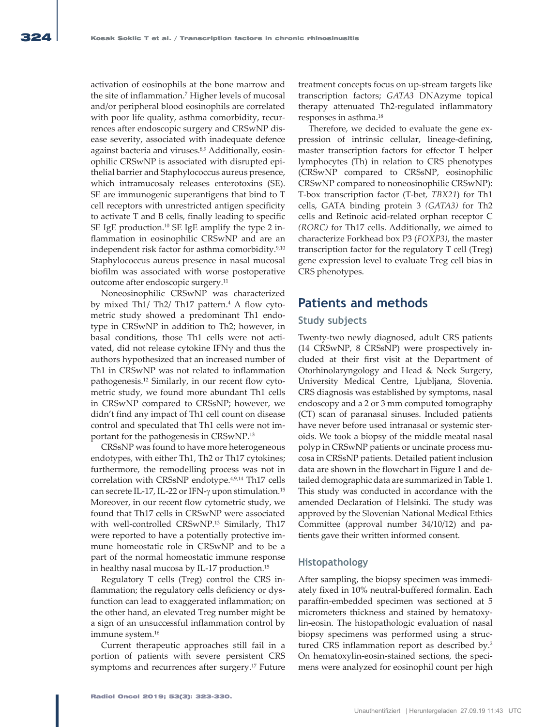activation of eosinophils at the bone marrow and the site of inflammation.7 Higher levels of mucosal and/or peripheral blood eosinophils are correlated with poor life quality, asthma comorbidity, recurrences after endoscopic surgery and CRSwNP disease severity, associated with inadequate defence against bacteria and viruses.<sup>8,9</sup> Additionally, eosinophilic CRSwNP is associated with disrupted epithelial barrier and Staphylococcus aureus presence, which intramucosaly releases enterotoxins (SE). SE are immunogenic superantigens that bind to T cell receptors with unrestricted antigen specificity to activate T and B cells, finally leading to specific SE IgE production.10 SE IgE amplify the type 2 inflammation in eosinophilic CRSwNP and are an independent risk factor for asthma comorbidity.<sup>9,10</sup> Staphylococcus aureus presence in nasal mucosal biofilm was associated with worse postoperative outcome after endoscopic surgery.11

Noneosinophilic CRSwNP was characterized by mixed Th1/ Th2/ Th17 pattern.4 A flow cytometric study showed a predominant Th1 endotype in CRSwNP in addition to Th2; however, in basal conditions, those Th1 cells were not activated, did not release cytokine IFN $\gamma$  and thus the authors hypothesized that an increased number of Th1 in CRSwNP was not related to inflammation pathogenesis.12 Similarly, in our recent flow cytometric study, we found more abundant Th1 cells in CRSwNP compared to CRSsNP; however, we didn't find any impact of Th1 cell count on disease control and speculated that Th1 cells were not important for the pathogenesis in CRSwNP.13

CRSsNP was found to have more heterogeneous endotypes, with either Th1, Th2 or Th17 cytokines; furthermore, the remodelling process was not in correlation with CRSsNP endotype.4,9,14 Th17 cells can secrete IL-17, IL-22 or IFN- $\gamma$  upon stimulation.<sup>15</sup> Moreover, in our recent flow cytometric study, we found that Th17 cells in CRSwNP were associated with well-controlled CRSwNP.<sup>13</sup> Similarly, Th17 were reported to have a potentially protective immune homeostatic role in CRSwNP and to be a part of the normal homeostatic immune response in healthy nasal mucosa by IL-17 production.15

Regulatory T cells (Treg) control the CRS inflammation; the regulatory cells deficiency or dysfunction can lead to exaggerated inflammation; on the other hand, an elevated Treg number might be a sign of an unsuccessful inflammation control by immune system.16

Current therapeutic approaches still fail in a portion of patients with severe persistent CRS symptoms and recurrences after surgery.17 Future

treatment concepts focus on up-stream targets like transcription factors; *GATA3* DNAzyme topical therapy attenuated Th2-regulated inflammatory responses in asthma.18

Therefore, we decided to evaluate the gene expression of intrinsic cellular, lineage-defining, master transcription factors for effector T helper lymphocytes (Th) in relation to CRS phenotypes (CRSwNP compared to CRSsNP, eosinophilic CRSwNP compared to noneosinophilic CRSwNP): T-box transcription factor (T-bet*, TBX21*) for Th1 cells, GATA binding protein 3 *(GATA3)* for Th2 cells and Retinoic acid-related orphan receptor C *(RORC)* for Th17 cells. Additionally, we aimed to characterize Forkhead box P3 (*FOXP3)*, the master transcription factor for the regulatory T cell (Treg) gene expression level to evaluate Treg cell bias in CRS phenotypes.

# **Patients and methods**

#### **Study subjects**

Twenty-two newly diagnosed, adult CRS patients (14 CRSwNP, 8 CRSsNP) were prospectively included at their first visit at the Department of Otorhinolaryngology and Head & Neck Surgery, University Medical Centre, Ljubljana, Slovenia. CRS diagnosis was established by symptoms, nasal endoscopy and a 2 or 3 mm computed tomography (CT) scan of paranasal sinuses. Included patients have never before used intranasal or systemic steroids. We took a biopsy of the middle meatal nasal polyp in CRSwNP patients or uncinate process mucosa in CRSsNP patients. Detailed patient inclusion data are shown in the flowchart in Figure 1 and detailed demographic data are summarized in Table 1. This study was conducted in accordance with the amended Declaration of Helsinki. The study was approved by the Slovenian National Medical Ethics Committee (approval number 34/10/12) and patients gave their written informed consent.

#### **Histopathology**

After sampling, the biopsy specimen was immediately fixed in 10% neutral-buffered formalin. Each paraffin-embedded specimen was sectioned at 5 micrometers thickness and stained by hematoxylin-eosin. The histopathologic evaluation of nasal biopsy specimens was performed using a structured CRS inflammation report as described by.2 On hematoxylin-eosin-stained sections, the specimens were analyzed for eosinophil count per high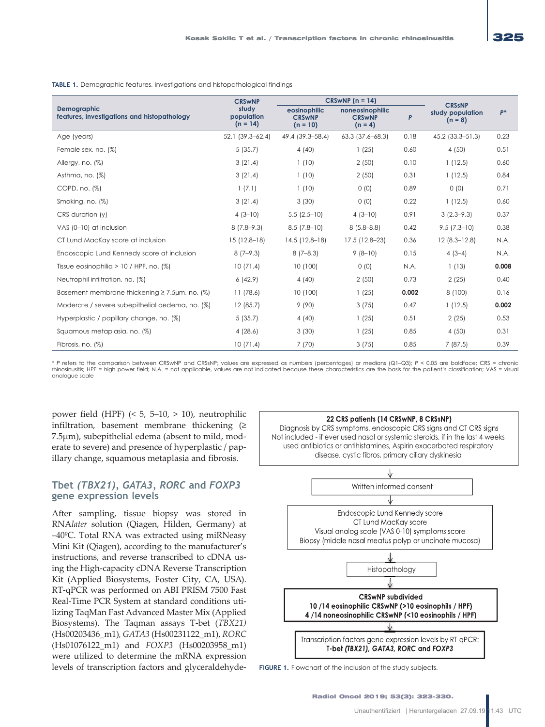|                                                                   | <b>CRSwNP</b><br>study<br>population<br>$(n = 14)$ | $CRSWNP (n = 14)$                           |                                               |       |                                                |       |
|-------------------------------------------------------------------|----------------------------------------------------|---------------------------------------------|-----------------------------------------------|-------|------------------------------------------------|-------|
| <b>Demographic</b><br>features, investigations and histopathology |                                                    | eosinophilic<br><b>CRSwNP</b><br>$(n = 10)$ | noneosinophilic<br><b>CRSwNP</b><br>$(n = 4)$ | P     | <b>CRSSNP</b><br>study population<br>$(n = 8)$ | $P^*$ |
| Age (years)                                                       | $52.1(39.3 - 62.4)$                                | 49.4 (39.3-58.4)                            | $63.3$ $(37.6 - 68.3)$                        | 0.18  | 45.2 (33.3–51.3)                               | 0.23  |
| Female sex, no. (%)                                               | 5(35.7)                                            | 4(40)                                       | 1(25)                                         | 0.60  | 4(50)                                          | 0.51  |
| Allergy, no. (%)                                                  | 3(21.4)                                            | 1(10)                                       | 2(50)                                         | 0.10  | 1(12.5)                                        | 0.60  |
| Asthma, no. (%)                                                   | 3(21.4)                                            | 1(10)                                       | 2(50)                                         | 0.31  | 1(12.5)                                        | 0.84  |
| COPD, no. (%)                                                     | 1(7.1)                                             | 1(10)                                       | 0(0)                                          | 0.89  | 0(0)                                           | 0.71  |
| Smoking, no. (%)                                                  | 3(21.4)                                            | 3(30)                                       | 0(0)                                          | 0.22  | 1(12.5)                                        | 0.60  |
| CRS duration (y)                                                  | $4(3-10)$                                          | $5.5(2.5-10)$                               | $4(3-10)$                                     | 0.91  | $3(2.3 - 9.3)$                                 | 0.37  |
| VAS (0-10) at inclusion                                           | $8(7.8-9.3)$                                       | $8.5(7.8-10)$                               | $8(5.8 - 8.8)$                                | 0.42  | $9.5(7.3-10)$                                  | 0.38  |
| CT Lund MacKay score at inclusion                                 | $15(12.8-18)$                                      | $14.5(12.8-18)$                             | 17.5 (12.8-23)                                | 0.36  | $12(8.3 - 12.8)$                               | N.A.  |
| Endoscopic Lund Kennedy score at inclusion                        | $8(7-9.3)$                                         | $8(7-8.3)$                                  | $9(8-10)$                                     | 0.15  | $4(3-4)$                                       | N.A.  |
| Tissue eosinophilia $> 10$ / HPF, no. $(\%)$                      | 10(71.4)                                           | 10(100)                                     | 0(0)                                          | N.A.  | 1(13)                                          | 0.008 |
| Neutrophil infiltration, no. (%)                                  | 6(42.9)                                            | 4(40)                                       | 2(50)                                         | 0.73  | 2(25)                                          | 0.40  |
| Basement membrane thickening $\geq 7.5$ µm, no. (%)               | 11(78.6)                                           | 10(100)                                     | 1(25)                                         | 0.002 | 8(100)                                         | 0.16  |
| Moderate / severe subepithelial oedema, no. (%)                   | 12(85.7)                                           | 9(90)                                       | 3(75)                                         | 0.47  | 1(12.5)                                        | 0.002 |
| Hyperplastic / papillary change, no. (%)                          | 5(35.7)                                            | 4(40)                                       | 1(25)                                         | 0.51  | 2(25)                                          | 0.53  |
| Squamous metaplasia, no. (%)                                      | 4(28.6)                                            | 3(30)                                       | 1(25)                                         | 0.85  | 4(50)                                          | 0.31  |
| Fibrosis, no. (%)                                                 | 10(71.4)                                           | 7(70)                                       | 3(75)                                         | 0.85  | 7(87.5)                                        | 0.39  |

**TABLE 1.** Demographic features, investigations and histopathological findings

\* *P* refers to the comparison between CRSwNP and CRSsNP; values are expressed as numbers (percentages) or medians (Q1–Q3); *P* < 0.05 are boldface; CRS = chronic rhinosinusitis; HPF = high power field; N.A. = not applicable, values are not indicated because these characteristics are the basis for the patient's classification; VAS = visual analogue scale

power field (HPF)  $(5, 5-10, > 10)$ , neutrophilic infiltration, basement membrane thickening (≥ 7.5μm), subepithelial edema (absent to mild, moderate to severe) and presence of hyperplastic / papillary change, squamous metaplasia and fibrosis.

### **Tbet** *(TBX21), GATA3, RORC* **and** *FOXP3* **gene expression levels**

After sampling, tissue biopsy was stored in RNA*later* solution (Qiagen, Hilden, Germany) at –40ºC. Total RNA was extracted using miRNeasy Mini Kit (Qiagen), according to the manufacturer's instructions, and reverse transcribed to cDNA using the High-capacity cDNA Reverse Transcription Kit (Applied Biosystems, Foster City, CA, USA). RT-qPCR was performed on ABI PRISM 7500 Fast Real-Time PCR System at standard conditions utilizing TaqMan Fast Advanced Master Mix (Applied Biosystems). The Taqman assays T-bet (*TBX21)*  (Hs00203436\_m1)*, GATA3* (Hs00231122\_m1), *RORC*  (Hs01076122\_m1) and *FOXP3* (Hs00203958\_m1) were utilized to determine the mRNA expression levels of transcription factors and glyceraldehyde-



FIGURE 1. Flowchart of the inclusion of the study subjects.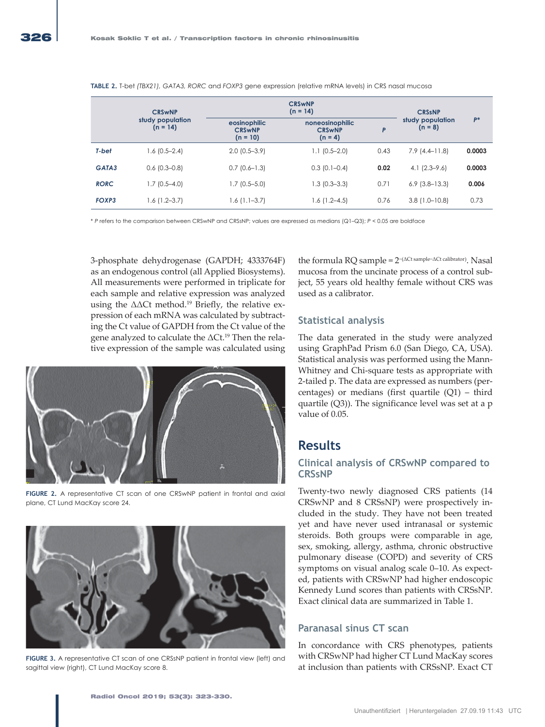|             | <b>CRSwNP</b>                  | <b>CRSwNP</b><br>$(n = 14)$                 |                                               |      | <b>CRSSNP</b>                 |        |
|-------------|--------------------------------|---------------------------------------------|-----------------------------------------------|------|-------------------------------|--------|
|             | study population<br>$(n = 14)$ | eosinophilic<br><b>CRSwNP</b><br>$(n = 10)$ | noneosinophilic<br><b>CRSwNP</b><br>$(n = 4)$ | P    | study population<br>$(n = 8)$ | $P^*$  |
| T-bet       | $1.6(0.5-2.4)$                 | $2.0$ (0.5–3.9)                             | $1.1(0.5-2.0)$                                | 0.43 | $7.9(4.4-11.8)$               | 0.0003 |
| GATA3       | $0.6$ (0.3-0.8)                | $0.7(0.6-1.3)$                              | $0.3(0.1-0.4)$                                | 0.02 | $4.1(2.3-9.6)$                | 0.0003 |
| <b>RORC</b> | $1.7(0.5 - 4.0)$               | $1.7(0.5 - 5.0)$                            | $1.3(0.3-3.3)$                                | 0.71 | $6.9$ $(3.8-13.3)$            | 0.006  |
| FOXP3       | $1.6(1.2-3.7)$                 | $1.6(1.1-3.7)$                              | $1.6(1.2 - 4.5)$                              | 0.76 | $3.8(1.0 - 10.8)$             | 0.73   |

**TABLE 2.** T-bet *(TBX21), GATA3, RORC* and *FOXP3* gene expression (relative mRNA levels) in CRS nasal mucosa

\* *P* refers to the comparison between CRSwNP and CRSsNP; values are expressed as medians (Q1–Q3); *P* < 0.05 are boldface

3-phosphate dehydrogenase (GAPDH; 4333764F) as an endogenous control (all Applied Biosystems). All measurements were performed in triplicate for each sample and relative expression was analyzed using the  $\Delta\Delta$ Ct method.<sup>19</sup> Briefly, the relative expression of each mRNA was calculated by subtracting the Ct value of GAPDH from the Ct value of the gene analyzed to calculate the ΔCt.19 Then the relative expression of the sample was calculated using



**FIGURE 2.** A representative CT scan of one CRSwNP patient in frontal and axial plane, CT Lund MacKay score 24.



**FIGURE 3.** A representative CT scan of one CRSsNP patient in frontal view (left) and sagittal view (right), CT Lund MacKay score 8.

the formula RQ sample = 2<sup>−</sup>(ΔCt sample−ΔCt calibrator). Nasal mucosa from the uncinate process of a control subject, 55 years old healthy female without CRS was used as a calibrator.

# **Statistical analysis**

The data generated in the study were analyzed using GraphPad Prism 6.0 (San Diego, CA, USA). Statistical analysis was performed using the Mann-Whitney and Chi-square tests as appropriate with 2-tailed p. The data are expressed as numbers (percentages) or medians (first quartile (Q1) – third quartile (Q3)). The significance level was set at a p value of 0.05.

# **Results**

# **Clinical analysis of CRSwNP compared to CRSsNP**

Twenty-two newly diagnosed CRS patients (14 CRSwNP and 8 CRSsNP) were prospectively included in the study. They have not been treated yet and have never used intranasal or systemic steroids. Both groups were comparable in age, sex, smoking, allergy, asthma, chronic obstructive pulmonary disease (COPD) and severity of CRS symptoms on visual analog scale 0–10. As expected, patients with CRSwNP had higher endoscopic Kennedy Lund scores than patients with CRSsNP. Exact clinical data are summarized in Table 1.

# **Paranasal sinus CT scan**

In concordance with CRS phenotypes, patients with CRSwNP had higher CT Lund MacKay scores at inclusion than patients with CRSsNP. Exact CT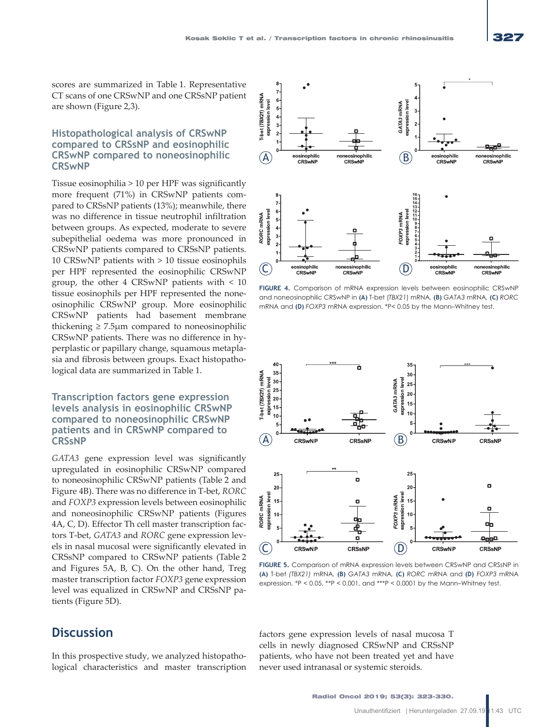# **Histopathological analysis of CRSwNP compared to CRSsNP and eosinophilic CRSwNP compared to noneosinophilic CRSwNP**

Tissue eosinophilia > 10 per HPF was significantly more frequent (71%) in CRSwNP patients compared to CRSsNP patients (13%); meanwhile, there was no difference in tissue neutrophil infiltration between groups. As expected, moderate to severe subepithelial oedema was more pronounced in CRSwNP patients compared to CRSsNP patients. 10 CRSwNP patients with > 10 tissue eosinophils per HPF represented the eosinophilic CRSwNP group, the other 4 CRSwNP patients with < 10 tissue eosinophils per HPF represented the noneosinophilic CRSwNP group. More eosinophilic CRSwNP patients had basement membrane thickening  $\geq 7.5 \mu m$  compared to noneosinophilic CRSwNP patients. There was no difference in hyperplastic or papillary change, squamous metaplasia and fibrosis between groups. Exact histopathological data are summarized in Table 1.

# **Transcription factors gene expression levels analysis in eosinophilic CRSwNP compared to noneosinophilic CRSwNP patients and in CRSwNP compared to CRSsNP**

*GATA3* gene expression level was significantly upregulated in eosinophilic CRSwNP compared to noneosinophilic CRSwNP patients (Table 2 and Figure 4B). There was no difference in T-bet, *RORC*  and *FOXP3* expression levels between eosinophilic and noneosinophilic CRSwNP patients (Figures 4A, C, D). Effector Th cell master transcription factors T-bet, *GATA3* and *RORC* gene expression levels in nasal mucosal were significantly elevated in CRSsNP compared to CRSwNP patients (Table 2 and Figures 5A, B, C). On the other hand, Treg master transcription factor *FOXP3* gene expression level was equalized in CRSwNP and CRSsNP patients (Figure 5D).

# **Discussion**

In this prospective study, we analyzed histopathological characteristics and master transcription



**FIGURE 4.** Comparison of mRNA expression levels between eosinophilic CRSwNP and noneosinophilic CRSwNP in **(A)** T-bet (*TBX21*) mRNA*,* **(B)** *GATA3* mRNA*,* **(C)** *RORC* mRNA and **(D)** *FOXP3* mRNA expression. \*P< 0.05 by the Mann–Whitney test.



**FIGURE 5.** Comparison of mRNA expression levels between CRSwNP and CRSsNP in **(A)** T-bet *(TBX21)* mRNA*,* **(B)** *GATA3* mRNA*,* **(C)** *RORC* mRNA and **(D)** *FOXP3* mRNA expression. \*P < 0.05, \*\*P < 0.001, and \*\*\*P < 0.0001 by the Mann–Whitney test.

factors gene expression levels of nasal mucosa T cells in newly diagnosed CRSwNP and CRSsNP patients, who have not been treated yet and have never used intranasal or systemic steroids.

Radiol Oncol 2019; 53(3): 323-330.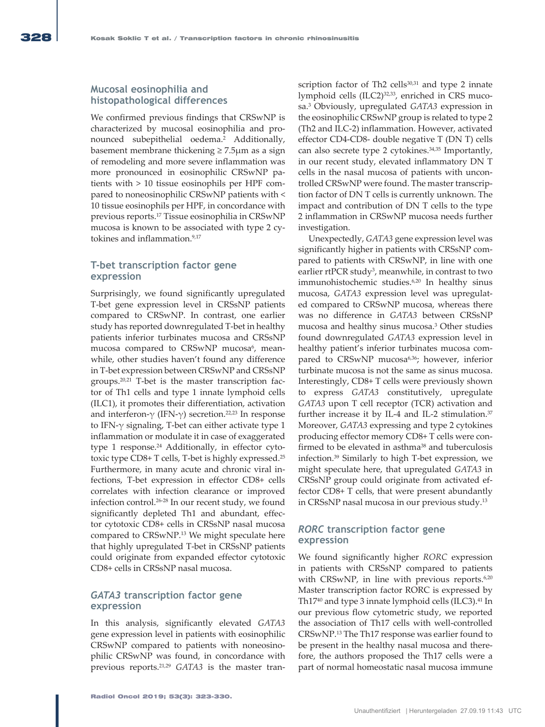### **Mucosal eosinophilia and histopathological differences**

We confirmed previous findings that CRSwNP is characterized by mucosal eosinophilia and pronounced subepithelial oedema.2 Additionally, basement membrane thickening  $\geq 7.5 \mu$ m as a sign of remodeling and more severe inflammation was more pronounced in eosinophilic CRSwNP patients with > 10 tissue eosinophils per HPF compared to noneosinophilic CRSwNP patients with < 10 tissue eosinophils per HPF, in concordance with previous reports.17 Tissue eosinophilia in CRSwNP mucosa is known to be associated with type 2 cytokines and inflammation.<sup>9,17</sup>

# **T-bet transcription factor gene expression**

Surprisingly, we found significantly upregulated T-bet gene expression level in CRSsNP patients compared to CRSwNP. In contrast, one earlier study has reported downregulated T-bet in healthy patients inferior turbinates mucosa and CRSsNP mucosa compared to CRSwNP mucosa<sup>6</sup>, meanwhile, other studies haven't found any difference in T-bet expression between CRSwNP and CRSsNP groups.20,21 T-bet is the master transcription factor of Th1 cells and type 1 innate lymphoid cells (ILC1), it promotes their differentiation, activation and interferon-γ (IFN-γ) secretion.<sup>22,23</sup> In response to IFN-γ signaling, T-bet can either activate type 1 inflammation or modulate it in case of exaggerated type 1 response.<sup>24</sup> Additionally, in effector cytotoxic type CD8+ T cells, T-bet is highly expressed.<sup>25</sup> Furthermore, in many acute and chronic viral infections, T-bet expression in effector CD8+ cells correlates with infection clearance or improved infection control.26-28 In our recent study, we found significantly depleted Th1 and abundant, effector cytotoxic CD8+ cells in CRSsNP nasal mucosa compared to CRSwNP.13 We might speculate here that highly upregulated T-bet in CRSsNP patients could originate from expanded effector cytotoxic CD8+ cells in CRSsNP nasal mucosa.

#### *GATA3* **transcription factor gene expression**

In this analysis, significantly elevated *GATA3* gene expression level in patients with eosinophilic CRSwNP compared to patients with noneosinophilic CRSwNP was found, in concordance with previous reports.21,29 *GATA3* is the master transcription factor of Th2 cells $30,31$  and type 2 innate lymphoid cells (ILC2)32,33, enriched in CRS mucosa.3 Obviously, upregulated *GATA3* expression in the eosinophilic CRSwNP group is related to type 2 (Th2 and ILC-2) inflammation. However, activated effector CD4-CD8- double negative T (DN T) cells can also secrete type 2 cytokines.34,35 Importantly, in our recent study, elevated inflammatory DN T cells in the nasal mucosa of patients with uncontrolled CRSwNP were found. The master transcription factor of DN T cells is currently unknown. The impact and contribution of DN T cells to the type 2 inflammation in CRSwNP mucosa needs further investigation.

Unexpectedly, *GATA3* gene expression level was significantly higher in patients with CRSsNP compared to patients with CRSwNP, in line with one earlier rtPCR study<sup>3</sup>, meanwhile, in contrast to two immunohistochemic studies.<sup>6,20</sup> In healthy sinus mucosa, *GATA3* expression level was upregulated compared to CRSwNP mucosa, whereas there was no difference in *GATA3* between CRSsNP mucosa and healthy sinus mucosa.3 Other studies found downregulated *GATA3* expression level in healthy patient's inferior turbinates mucosa compared to CRSwNP mucosa<sup>6,36</sup>; however, inferior turbinate mucosa is not the same as sinus mucosa. Interestingly, CD8+ T cells were previously shown to express *GATA3* constitutively, upregulate *GATA3* upon T cell receptor (TCR) activation and further increase it by IL-4 and IL-2 stimulation. $37$ Moreover, *GATA3* expressing and type 2 cytokines producing effector memory CD8+ T cells were confirmed to be elevated in asthma<sup>38</sup> and tuberculosis infection.39 Similarly to high T-bet expression, we might speculate here, that upregulated *GATA3* in CRSsNP group could originate from activated effector CD8+ T cells, that were present abundantly in CRSsNP nasal mucosa in our previous study.13

# *RORC* **transcription factor gene expression**

We found significantly higher *RORC* expression in patients with CRSsNP compared to patients with CRSwNP, in line with previous reports.<sup>6,20</sup> Master transcription factor RORC is expressed by Th17<sup>40</sup> and type 3 innate lymphoid cells (ILC3).<sup>41</sup> In our previous flow cytometric study, we reported the association of Th17 cells with well-controlled CRSwNP.13 The Th17 response was earlier found to be present in the healthy nasal mucosa and therefore, the authors proposed the Th17 cells were a part of normal homeostatic nasal mucosa immune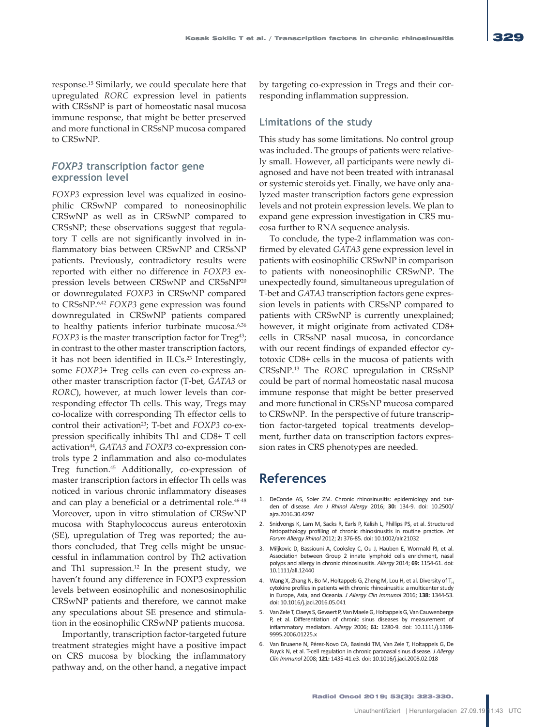response.15 Similarly, we could speculate here that upregulated *RORC* expression level in patients with CRSsNP is part of homeostatic nasal mucosa immune response, that might be better preserved and more functional in CRSsNP mucosa compared to CRSwNP.

# *FOXP3* **transcription factor gene expression level**

*FOXP3* expression level was equalized in eosinophilic CRSwNP compared to noneosinophilic CRSwNP as well as in CRSwNP compared to CRSsNP; these observations suggest that regulatory T cells are not significantly involved in inflammatory bias between CRSwNP and CRSsNP patients. Previously, contradictory results were reported with either no difference in *FOXP3* expression levels between CRSwNP and CRSsNP20 or downregulated *FOXP3* in CRSwNP compared to CRSsNP.6,42 *FOXP3* gene expression was found downregulated in CRSwNP patients compared to healthy patients inferior turbinate mucosa.6,36 *FOXP3* is the master transcription factor for Treg<sup>43</sup>; in contrast to the other master transcription factors, it has not been identified in ILCs.<sup>23</sup> Interestingly, some *FOXP3+* Treg cells can even co-express another master transcription factor (T-bet*, GATA3* or *RORC*), however, at much lower levels than corresponding effector Th cells. This way, Tregs may co-localize with corresponding Th effector cells to control their activation<sup>23</sup>; T-bet and *FOXP3* co-expression specifically inhibits Th1 and CD8+ T cell activation44, *GATA3* and *FOXP3* co-expression controls type 2 inflammation and also co-modulates Treg function.45 Additionally, co-expression of master transcription factors in effector Th cells was noticed in various chronic inflammatory diseases and can play a beneficial or a detrimental role.<sup>46-48</sup> Moreover, upon in vitro stimulation of CRSwNP mucosa with Staphylococcus aureus enterotoxin (SE), upregulation of Treg was reported; the authors concluded, that Treg cells might be unsuccessful in inflammation control by Th2 activation and Th1 supression.12 In the present study, we haven't found any difference in FOXP3 expression levels between eosinophilic and nonesosinophilic CRSwNP patients and therefore, we cannot make any speculations about SE presence and stimulation in the eosinophilic CRSwNP patients mucosa.

Importantly, transcription factor-targeted future treatment strategies might have a positive impact on CRS mucosa by blocking the inflammatory pathway and, on the other hand, a negative impact by targeting co-expression in Tregs and their corresponding inflammation suppression.

# **Limitations of the study**

This study has some limitations. No control group was included. The groups of patients were relatively small. However, all participants were newly diagnosed and have not been treated with intranasal or systemic steroids yet. Finally, we have only analyzed master transcription factors gene expression levels and not protein expression levels. We plan to expand gene expression investigation in CRS mucosa further to RNA sequence analysis.

To conclude, the type-2 inflammation was confirmed by elevated *GATA3* gene expression level in patients with eosinophilic CRSwNP in comparison to patients with noneosinophilic CRSwNP. The unexpectedly found, simultaneous upregulation of T-bet and *GATA3* transcription factors gene expression levels in patients with CRSsNP compared to patients with CRSwNP is currently unexplained; however, it might originate from activated CD8+ cells in CRSsNP nasal mucosa, in concordance with our recent findings of expanded effector cytotoxic CD8+ cells in the mucosa of patients with CRSsNP.13 The *RORC* upregulation in CRSsNP could be part of normal homeostatic nasal mucosa immune response that might be better preserved and more functional in CRSsNP mucosa compared to CRSwNP. In the perspective of future transcription factor-targeted topical treatments development, further data on transcription factors expression rates in CRS phenotypes are needed.

# **References**

- 1. DeConde AS, Soler ZM. Chronic rhinosinusitis: epidemiology and burden of disease. *Am J Rhinol Allergy* 2016; **30:** 134-9. doi: 10.2500/ ajra.2016.30.4297
- 2. Snidvongs K, Lam M, Sacks R, Earls P, Kalish L, Phillips PS, et al. Structured histopathology profiling of chronic rhinosinusitis in routine practice. *Int Forum Allergy Rhinol* 2012; **2:** 376-85. doi: 10.1002/alr.21032
- 3. Miljkovic D, Bassiouni A, Cooksley C, Ou J, Hauben E, Wormald PJ, et al. Association between Group 2 innate lymphoid cells enrichment, nasal polyps and allergy in chronic rhinosinusitis. *Allergy* 2014; **69:** 1154-61. doi: 10.1111/all.12440
- 4. Wang X, Zhang N, Bo M, Holtappels G, Zheng M, Lou H, et al. Diversity of T. cytokine profiles in patients with chronic rhinosinusitis: a multicenter study in Europe, Asia, and Oceania. *J Allergy Clin Immunol* 2016; **138:** 1344-53. doi: 10.1016/j.jaci.2016.05.041
- 5. Van Zele T, Claeys S, Gevaert P, Van Maele G, Holtappels G, Van Cauwenberge P, et al. Differentiation of chronic sinus diseases by measurement of inflammatory mediators. *Allergy* 2006; **61:** 1280-9. doi: 10.1111/j.1398- 9995.2006.01225.x
- 6. Van Bruaene N, Pérez-Novo CA, Basinski TM, Van Zele T, Holtappels G, De Ruyck N, et al. T-cell regulation in chronic paranasal sinus disease. *J Allergy Clin Immunol* 2008; **121:** 1435-41.e3. doi: 10.1016/j.jaci.2008.02.018